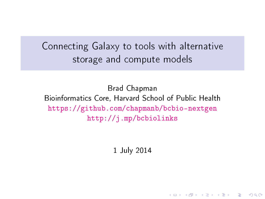Connecting Galaxy to tools with alternative storage and compute models

Brad Chapman Bioinformatics Core, Harvard School of Public Health <https://github.com/chapmanb/bcbio-nextgen> <http://j.mp/bcbiolinks>

1 July 2014

**KORK EX KEY KEY YOUR**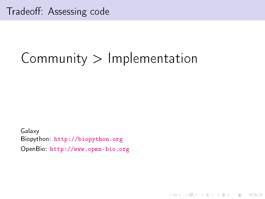# $Commonity$  > Implementation

**KORK (FRAGE) KERK EL POLO** 

Galaxy Biopython: <http://biopython.org> OpenBio: <http://www.open-bio.org>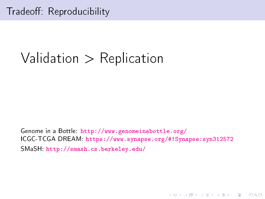## Validation  $>$  Replication

Genome in a Bottle: http://www.genomeinabottle.org/ ICGC-TCGA DREAM: https://www.synapse.org/#!Synapse:syn312572 SMaSH http://smash.cs.berkeley.edu/

**KORK EX KEY KEY YOUR**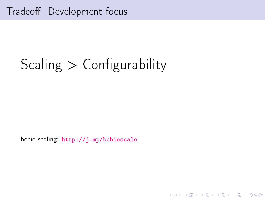# Scaling  $>$  Configurability

bcbio scaling. http://j.mp/bcbioscale

K ロ ▶ K @ ▶ K 할 ▶ K 할 ▶ 이 할 → 9 Q @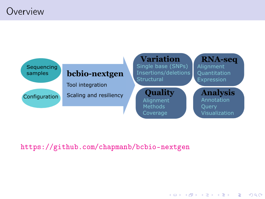## Overview



**KORK STRATER STRAKES** 

#### <https://github.com/chapmanb/bcbio-nextgen>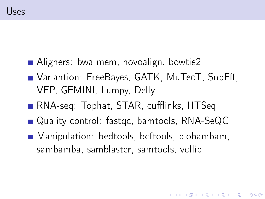- Aligners: bwa-mem, novoalign, bowtie2
- Variantion: FreeBayes, GATK, MuTecT, SnpEff, VEP, GEMINI, Lumpy, Delly
- RNA-seq: Tophat, STAR, cufflinks, HTSeq
- Quality control: fastgc, bamtools, RNA-SeQC
- Manipulation: bedtools, bcftools, biobambam, sambamba, samblaster, samtools, vcflib

**KORKA REPARATION ADD**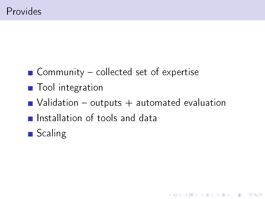- Community  $-$  collected set of expertise
- **T**ool integration
- $\blacksquare$  Validation outputs  $+$  automated evaluation

K ロ ▶ K 레 ▶ K 레 ▶ K 레 ≯ K 게 회 게 이 및 사 이 의 O

- **Installation of tools and data**
- Scaling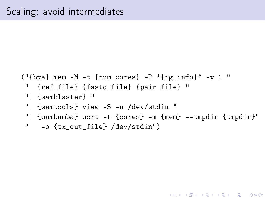```
("{bwa} mem -M -t {num_cores} -R '{rg_info}' -v 1 "
" {ref_file} {fastq_file} {pair_file} "
"| {samblaster} "
"| {samtools} view -S -u /dev/stdin "
"| {sambamba} sort -t {cores} -m {mem} --tmpdir {tmpdir}"
" -o {tx_out_file} /dev/stdin")
```
**KORK EX KEY KEY YOUR**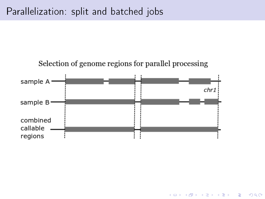



K ロ ▶ K @ ▶ K 할 ▶ K 할 ▶ 이 할 → 9 Q @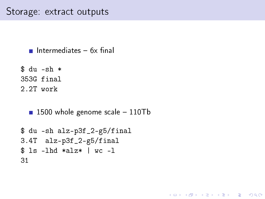### Storage: extract outputs

```
Intermediates -6x final
```

```
$ du -sh *
353G final
2.2T work
```

```
\blacksquare 1500 whole genome scale - 110Tb
```
K ロ ▶ K 레 ▶ K 레 ▶ K 레 ≯ K 게 회 게 이 및 사 이 의 O

```
$ du -sh alz-p3f_2-g5/final
3.4T alz-p3f_2-g5/final
$ ls -lhd *alz* | wc -l
31
```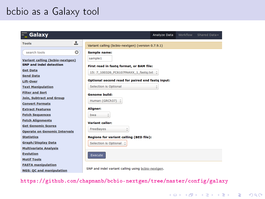## bcbio as a Galaxy tool



<https://github.com/chapmanb/bcbio-nextgen/tree/master/config/galaxy>

**KORK (FRAGE) KERK EL POLO**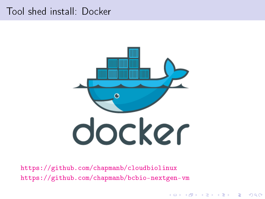## Tool shed install: Docker



イロト イ団 トイ 君 トイ 君 トー

÷,

 $2990$ 

<https://github.com/chapmanb/cloudbiolinux> <https://github.com/chapmanb/bcbio-nextgen-vm>